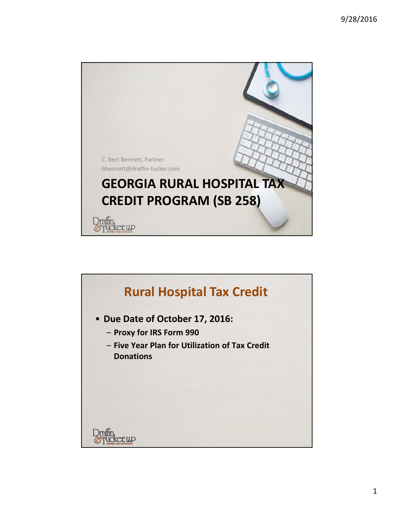

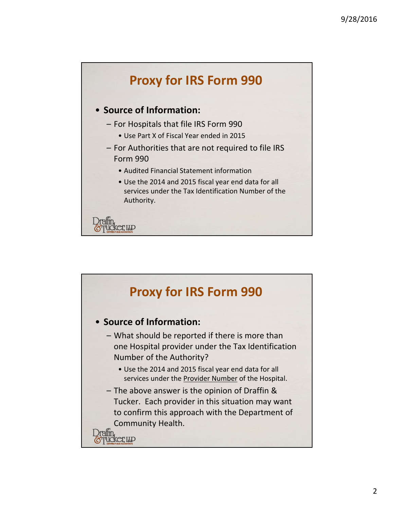

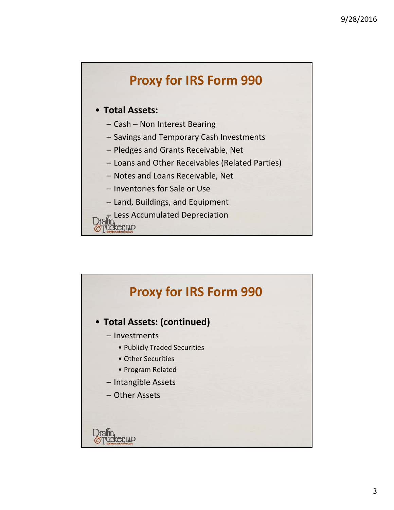

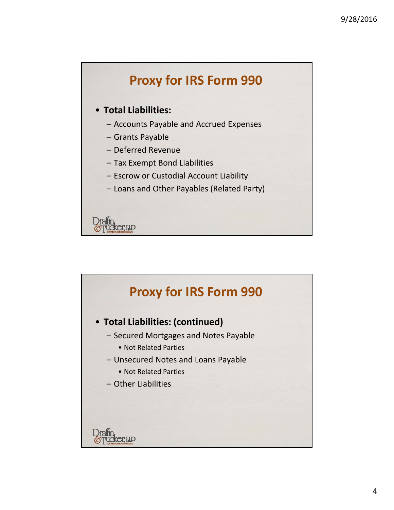

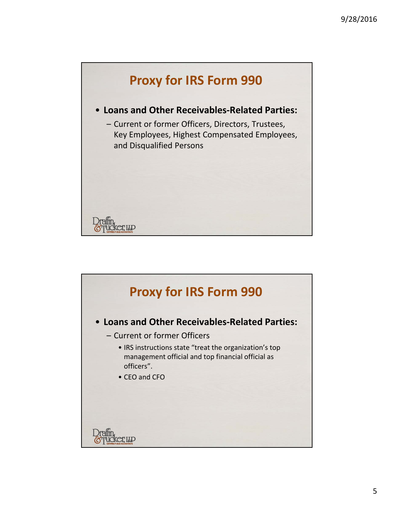

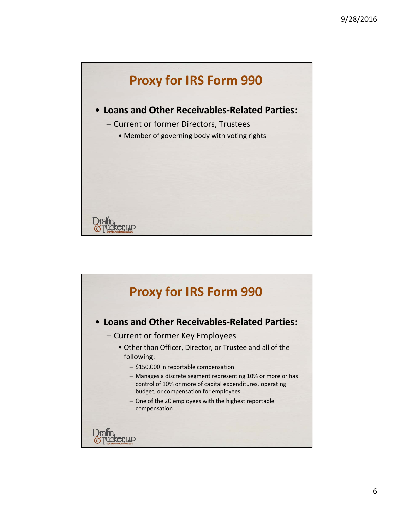![](_page_5_Figure_1.jpeg)

![](_page_5_Figure_2.jpeg)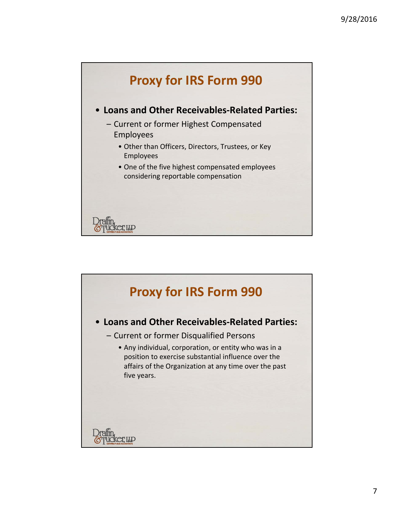![](_page_6_Figure_1.jpeg)

![](_page_6_Figure_2.jpeg)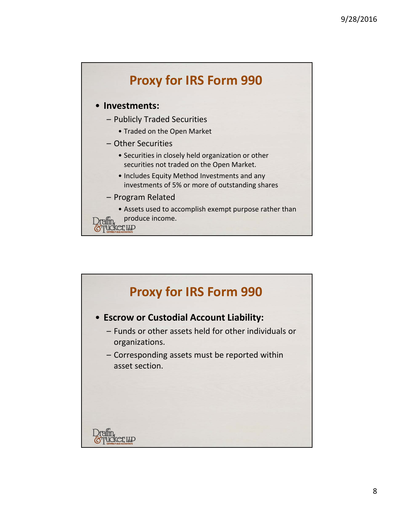![](_page_7_Figure_1.jpeg)

![](_page_7_Figure_2.jpeg)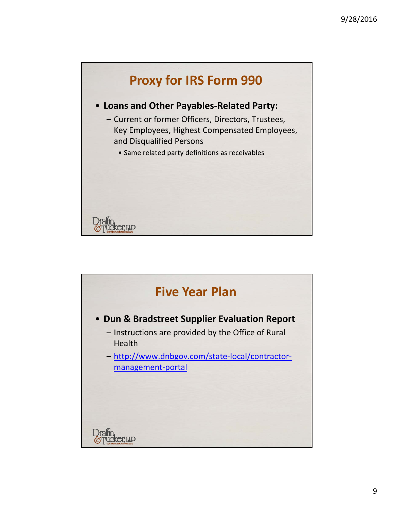![](_page_8_Figure_1.jpeg)

![](_page_8_Figure_2.jpeg)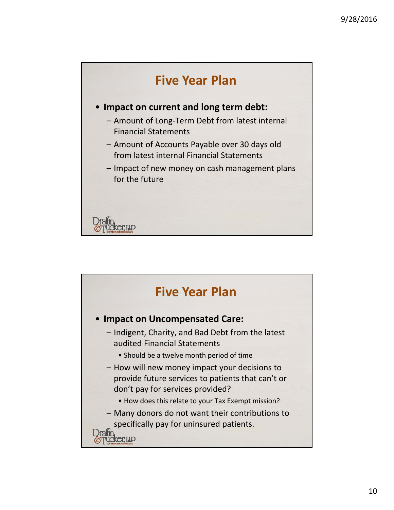![](_page_9_Figure_1.jpeg)

![](_page_9_Figure_2.jpeg)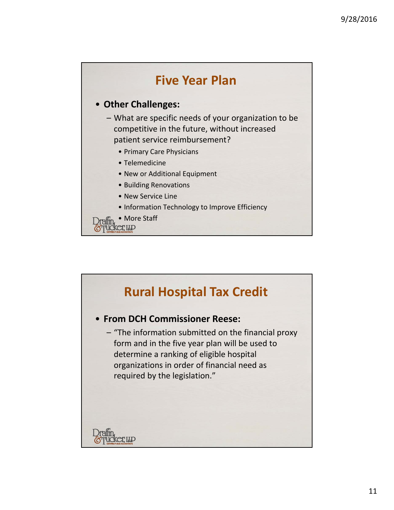![](_page_10_Figure_1.jpeg)

![](_page_10_Picture_2.jpeg)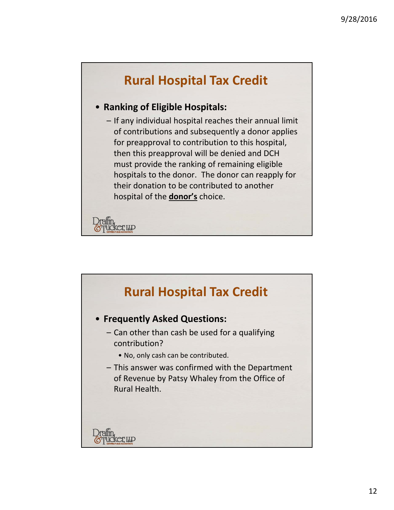## **Rural Hospital Tax Credit** • **Ranking of Eligible Hospitals:** – If any individual hospital reaches their annual limit of contributions and subsequently a donor applies for preapproval to contribution to this hospital, then this preapproval will be denied and DCH must provide the ranking of remaining eligible hospitals to the donor. The donor can reapply for their donation to be contributed to another hospital of the **donor's** choice.  $C$

![](_page_11_Figure_2.jpeg)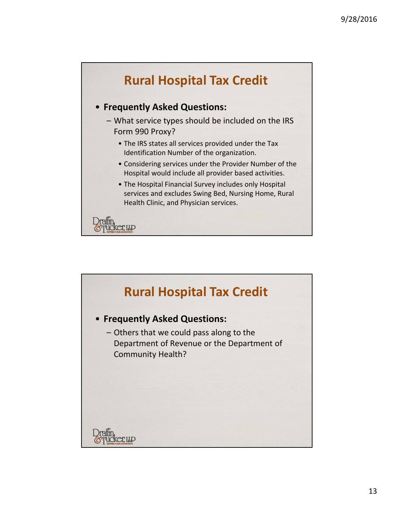![](_page_12_Figure_1.jpeg)

![](_page_12_Figure_2.jpeg)